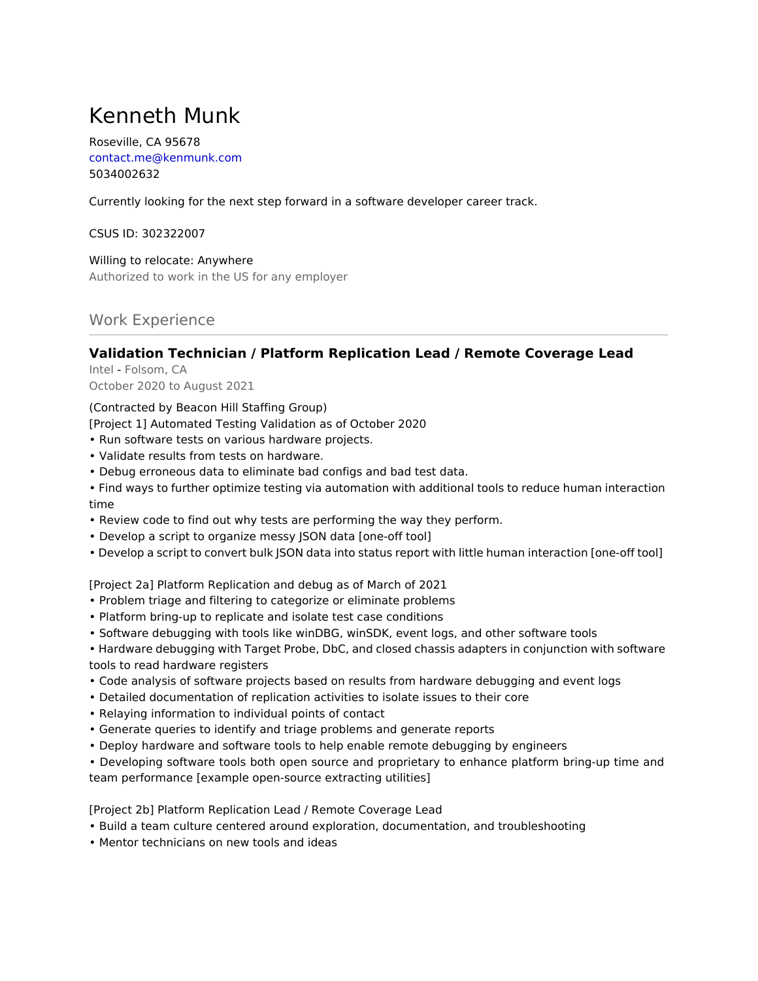# Kenneth Munk

Roseville, CA 95678 contact.me@kenmunk.com 5034002632

Currently looking for the next step forward in a software developer career track.

CSUS ID: 302322007

Willing to relocate: Anywhere Authorized to work in the US for any employer

Work Experience

## **Validation Technician / Platform Replication Lead / Remote Coverage Lead**

Intel - Folsom, CA October 2020 to August 2021

(Contracted by Beacon Hill Staffing Group)

[Project 1] Automated Testing Validation as of October 2020

- Run software tests on various hardware projects.
- Validate results from tests on hardware.
- Debug erroneous data to eliminate bad configs and bad test data.

• Find ways to further optimize testing via automation with additional tools to reduce human interaction time

- Review code to find out why tests are performing the way they perform.
- Develop a script to organize messy JSON data [one-off tool]
- Develop a script to convert bulk JSON data into status report with little human interaction [one-off tool]

[Project 2a] Platform Replication and debug as of March of 2021

- Problem triage and filtering to categorize or eliminate problems
- Platform bring-up to replicate and isolate test case conditions
- Software debugging with tools like winDBG, winSDK, event logs, and other software tools

• Hardware debugging with Target Probe, DbC, and closed chassis adapters in conjunction with software tools to read hardware registers

- Code analysis of software projects based on results from hardware debugging and event logs
- Detailed documentation of replication activities to isolate issues to their core
- Relaying information to individual points of contact
- Generate queries to identify and triage problems and generate reports
- Deploy hardware and software tools to help enable remote debugging by engineers
- Developing software tools both open source and proprietary to enhance platform bring-up time and

team performance [example open-source extracting utilities]

[Project 2b] Platform Replication Lead / Remote Coverage Lead

- Build a team culture centered around exploration, documentation, and troubleshooting
- Mentor technicians on new tools and ideas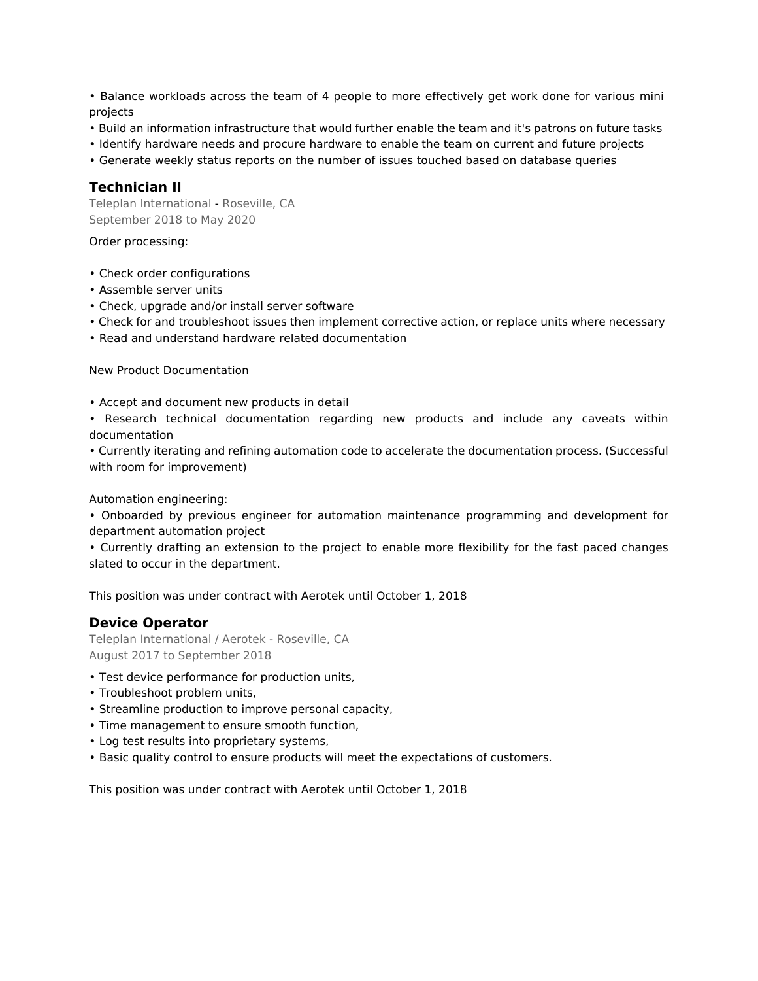• Balance workloads across the team of 4 people to more effectively get work done for various mini projects

- Build an information infrastructure that would further enable the team and it's patrons on future tasks
- Identify hardware needs and procure hardware to enable the team on current and future projects
- Generate weekly status reports on the number of issues touched based on database queries

#### **Technician II**

Teleplan International - Roseville, CA September 2018 to May 2020

Order processing:

- Check order configurations
- Assemble server units
- Check, upgrade and/or install server software
- Check for and troubleshoot issues then implement corrective action, or replace units where necessary
- Read and understand hardware related documentation

New Product Documentation

- Accept and document new products in detail
- Research technical documentation regarding new products and include any caveats within documentation

• Currently iterating and refining automation code to accelerate the documentation process. (Successful with room for improvement)

Automation engineering:

• Onboarded by previous engineer for automation maintenance programming and development for department automation project

• Currently drafting an extension to the project to enable more flexibility for the fast paced changes slated to occur in the department.

This position was under contract with Aerotek until October 1, 2018

#### **Device Operator**

Teleplan International / Aerotek - Roseville, CA August 2017 to September 2018

- Test device performance for production units,
- Troubleshoot problem units,
- Streamline production to improve personal capacity,
- Time management to ensure smooth function,
- Log test results into proprietary systems,
- Basic quality control to ensure products will meet the expectations of customers.

This position was under contract with Aerotek until October 1, 2018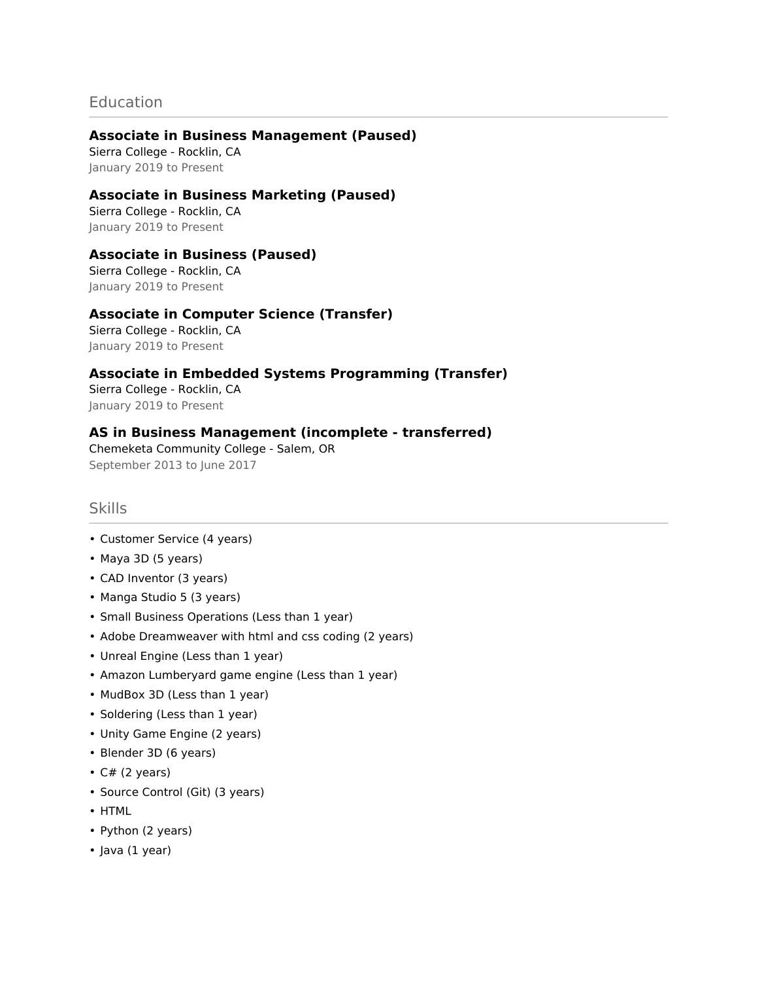## **Education**

## **Associate in Business Management (Paused)**

Sierra College - Rocklin, CA January 2019 to Present

## **Associate in Business Marketing (Paused)**

Sierra College - Rocklin, CA January 2019 to Present

## **Associate in Business (Paused)**

Sierra College - Rocklin, CA January 2019 to Present

## **Associate in Computer Science (Transfer)**

Sierra College - Rocklin, CA January 2019 to Present

**Associate in Embedded Systems Programming (Transfer)** Sierra College - Rocklin, CA January 2019 to Present

## **AS in Business Management (incomplete - transferred)**

Chemeketa Community College - Salem, OR September 2013 to June 2017

## Skills

- Customer Service (4 years)
- Maya 3D (5 years)
- CAD Inventor (3 years)
- Manga Studio 5 (3 years)
- Small Business Operations (Less than 1 year)
- Adobe Dreamweaver with html and css coding (2 years)
- Unreal Engine (Less than 1 year)
- Amazon Lumberyard game engine (Less than 1 year)
- MudBox 3D (Less than 1 year)
- Soldering (Less than 1 year)
- Unity Game Engine (2 years)
- Blender 3D (6 years)
- $\cdot$  C# (2 years)
- Source Control (Git) (3 years)
- HTML
- Python (2 years)
- Java (1 year)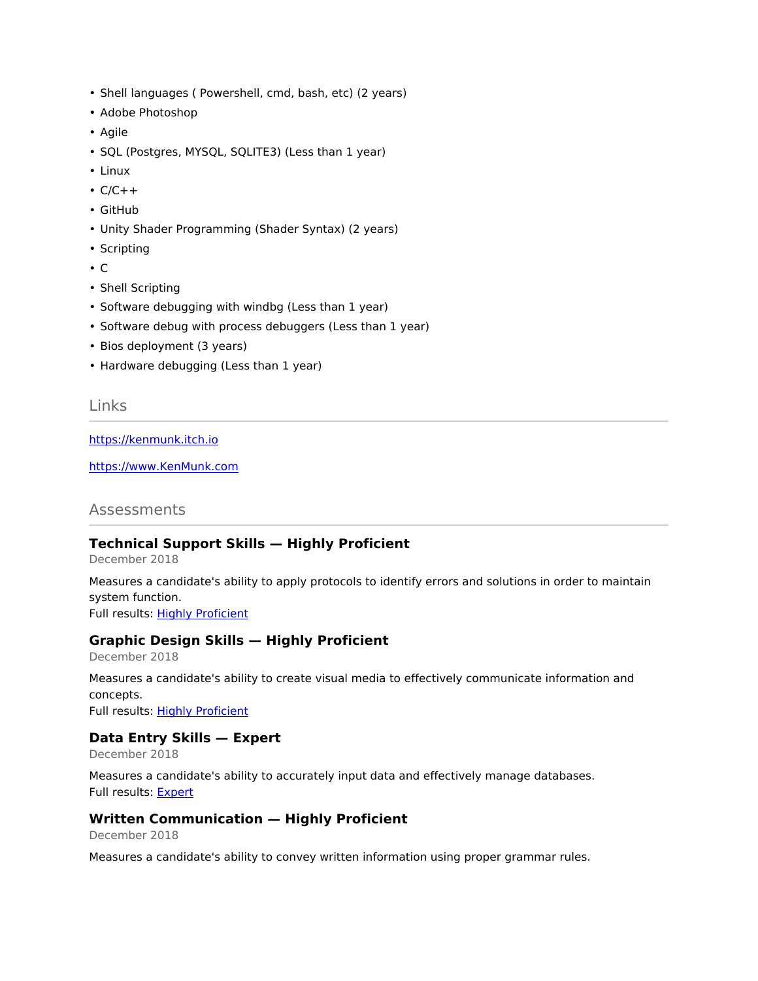- Shell languages ( Powershell, cmd, bash, etc) (2 years)
- Adobe Photoshop
- Agile
- SQL (Postgres, MYSQL, SQLITE3) (Less than 1 year)
- Linux
- $\cdot$  C/C++
- GitHub
- Unity Shader Programming (Shader Syntax) (2 years)
- Scripting
- C
- Shell Scripting
- Software debugging with windbg (Less than 1 year)
- Software debug with process debuggers (Less than 1 year)
- Bios deployment (3 years)
- Hardware debugging (Less than 1 year)

#### Links

<https://kenmunk.itch.io>

<https://www.KenMunk.com>

#### Assessments

#### **Technical Support Skills — Highly Proficient**

December 2018

Measures a candidate's ability to apply protocols to identify errors and solutions in order to maintain system function. Full results: [Highly Proficient](https://share.indeedassessments.com/share_assignment/2mijgxtpzt6bg7ab)

#### **Graphic Design Skills — Highly Proficient**

December 2018

Measures a candidate's ability to create visual media to effectively communicate information and concepts. Full results: [Highly Proficient](https://share.indeedassessments.com/share_assignment/mkzodgpwnlwhijft)

#### **Data Entry Skills — Expert**

December 2018

Measures a candidate's ability to accurately input data and effectively manage databases. Full results: [Expert](https://share.indeedassessments.com/share_assignment/d5ynbtuilvptzpfu)

#### **Written Communication — Highly Proficient**

December 2018

Measures a candidate's ability to convey written information using proper grammar rules.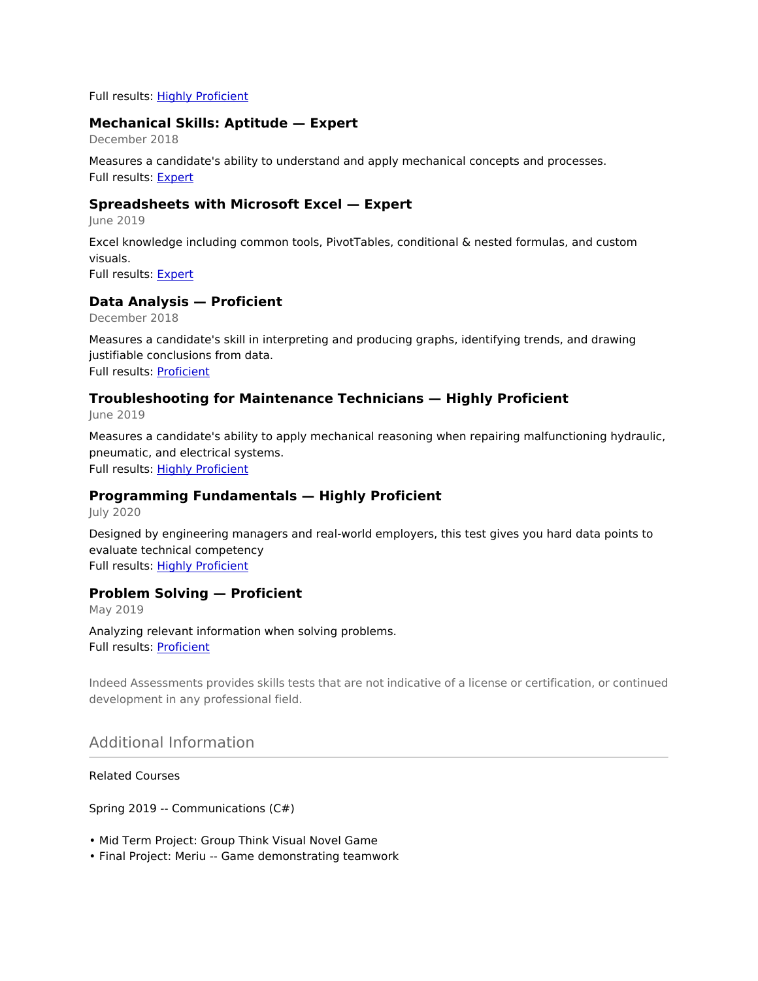Full results: [Highly Proficient](https://share.indeedassessments.com/share_assignment/pqpgq1ndwuyxlbt7)

## **Mechanical Skills: Aptitude — Expert**

December 2018

Measures a candidate's ability to understand and apply mechanical concepts and processes. Full results: [Expert](https://share.indeedassessments.com/share_assignment/oxqkmszd5mnv7dod)

#### **Spreadsheets with Microsoft Excel — Expert**

June 2019

Excel knowledge including common tools, PivotTables, conditional & nested formulas, and custom visuals.

Full results: [Expert](https://share.indeedassessments.com/share_assignment/esnmq1cvhy8tilzd)

#### **Data Analysis — Proficient**

December 2018

Measures a candidate's skill in interpreting and producing graphs, identifying trends, and drawing justifiable conclusions from data. Full results: [Proficient](https://share.indeedassessments.com/share_assignment/idzl-e6gw6of04q2)

#### **Troubleshooting for Maintenance Technicians — Highly Proficient**

June 2019

Measures a candidate's ability to apply mechanical reasoning when repairing malfunctioning hydraulic, pneumatic, and electrical systems. Full results: [Highly Proficient](https://share.indeedassessments.com/share_assignment/vx4wthlhsxpkg8i5)

#### **Programming Fundamentals — Highly Proficient**

July 2020

Designed by engineering managers and real-world employers, this test gives you hard data points to evaluate technical competency Full results: [Highly Proficient](https://share.indeedassessments.com/attempts/56e196e4e7a51bf971740852323e1fe9eed53dc074545cb7)

#### **Problem Solving — Proficient**

May 2019

Analyzing relevant information when solving problems. Full results: [Proficient](https://share.indeedassessments.com/attempts/97f4fae65a03b6021da65e4659eb788beed53dc074545cb7)

Indeed Assessments provides skills tests that are not indicative of a license or certification, or continued development in any professional field.

Additional Information

Related Courses

Spring 2019 -- Communications (C#)

- Mid Term Project: Group Think Visual Novel Game
- Final Project: Meriu -- Game demonstrating teamwork